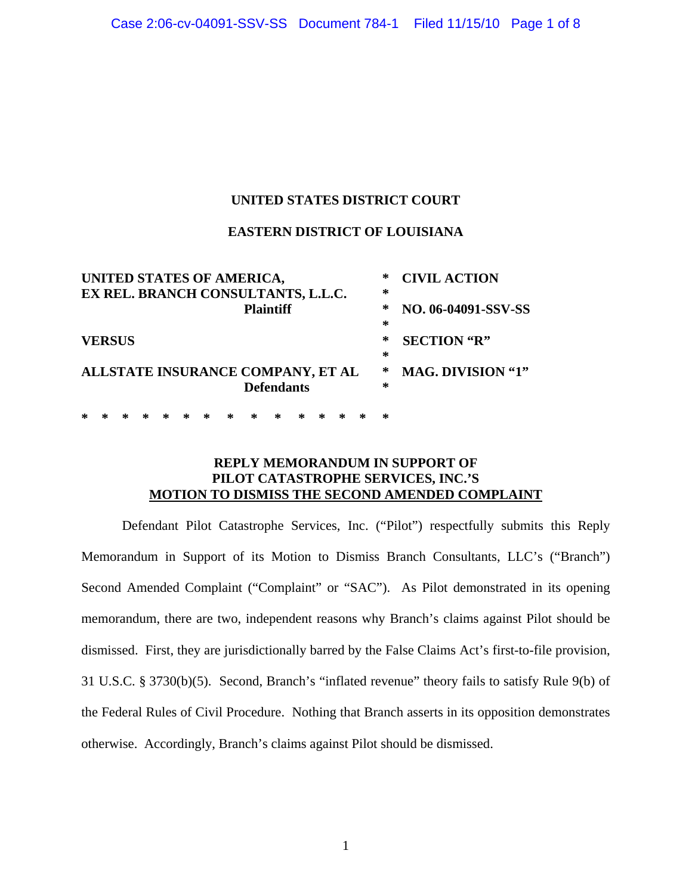# **UNITED STATES DISTRICT COURT**

## **EASTERN DISTRICT OF LOUISIANA**

| UNITED STATES OF AMERICA,          | ∗ | <b>CIVIL ACTION</b>      |
|------------------------------------|---|--------------------------|
| EX REL. BRANCH CONSULTANTS, L.L.C. | ∗ |                          |
| <b>Plaintiff</b>                   | ∗ | NO. 06-04091-SSV-SS      |
|                                    | ∗ |                          |
| <b>VERSUS</b>                      | ∗ | <b>SECTION</b> "R"       |
|                                    | ∗ |                          |
| ALLSTATE INSURANCE COMPANY, ET AL  | ∗ | <b>MAG. DIVISION "1"</b> |
| <b>Defendants</b>                  | ∗ |                          |
|                                    |   |                          |

**\* \* \* \* \* \* \* \* \* \* \* \* \* \* \*** 

# **REPLY MEMORANDUM IN SUPPORT OF PILOT CATASTROPHE SERVICES, INC.'S MOTION TO DISMISS THE SECOND AMENDED COMPLAINT**

Defendant Pilot Catastrophe Services, Inc. ("Pilot") respectfully submits this Reply Memorandum in Support of its Motion to Dismiss Branch Consultants, LLC's ("Branch") Second Amended Complaint ("Complaint" or "SAC"). As Pilot demonstrated in its opening memorandum, there are two, independent reasons why Branch's claims against Pilot should be dismissed. First, they are jurisdictionally barred by the False Claims Act's first-to-file provision, 31 U.S.C. § 3730(b)(5). Second, Branch's "inflated revenue" theory fails to satisfy Rule 9(b) of the Federal Rules of Civil Procedure. Nothing that Branch asserts in its opposition demonstrates otherwise. Accordingly, Branch's claims against Pilot should be dismissed.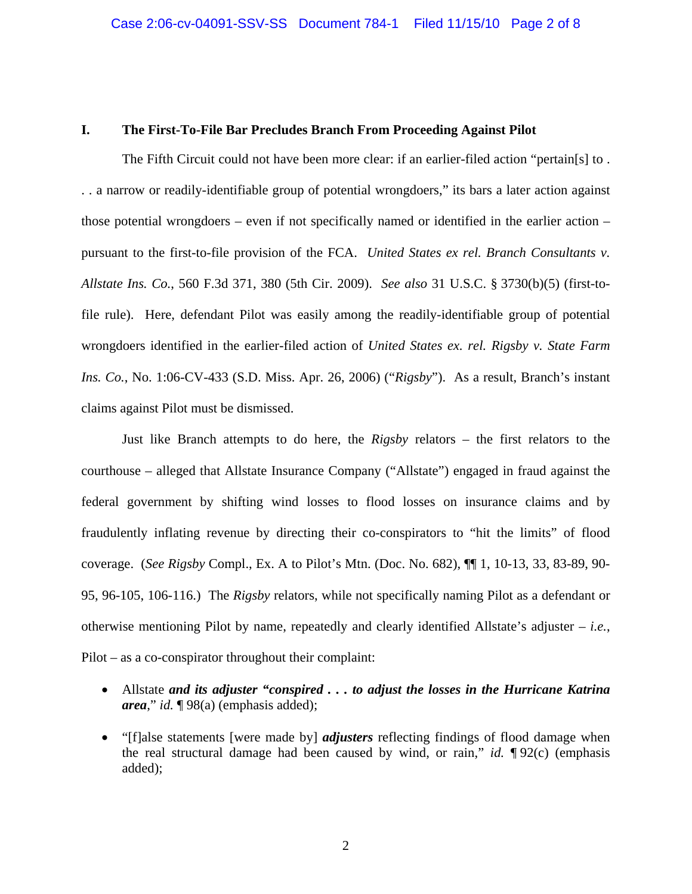## **I. The First-To-File Bar Precludes Branch From Proceeding Against Pilot**

The Fifth Circuit could not have been more clear: if an earlier-filed action "pertain[s] to. . . a narrow or readily-identifiable group of potential wrongdoers," its bars a later action against those potential wrongdoers – even if not specifically named or identified in the earlier action – pursuant to the first-to-file provision of the FCA. *United States ex rel. Branch Consultants v. Allstate Ins. Co.*, 560 F.3d 371, 380 (5th Cir. 2009). *See also* 31 U.S.C. § 3730(b)(5) (first-tofile rule). Here, defendant Pilot was easily among the readily-identifiable group of potential wrongdoers identified in the earlier-filed action of *United States ex. rel. Rigsby v. State Farm Ins. Co.*, No. 1:06-CV-433 (S.D. Miss. Apr. 26, 2006) ("*Rigsby*"). As a result, Branch's instant claims against Pilot must be dismissed.

Just like Branch attempts to do here, the *Rigsby* relators – the first relators to the courthouse – alleged that Allstate Insurance Company ("Allstate") engaged in fraud against the federal government by shifting wind losses to flood losses on insurance claims and by fraudulently inflating revenue by directing their co-conspirators to "hit the limits" of flood coverage. (*See Rigsby* Compl., Ex. A to Pilot's Mtn. (Doc. No. 682), ¶¶ 1, 10-13, 33, 83-89, 90- 95, 96-105, 106-116.) The *Rigsby* relators, while not specifically naming Pilot as a defendant or otherwise mentioning Pilot by name, repeatedly and clearly identified Allstate's adjuster – *i.e.*, Pilot – as a co-conspirator throughout their complaint:

- Allstate *and its adjuster "conspired . . . to adjust the losses in the Hurricane Katrina area*," *id.* ¶ 98(a) (emphasis added);
- "[f]alse statements [were made by] *adjusters* reflecting findings of flood damage when the real structural damage had been caused by wind, or rain," *id.* ¶ 92(c) (emphasis added);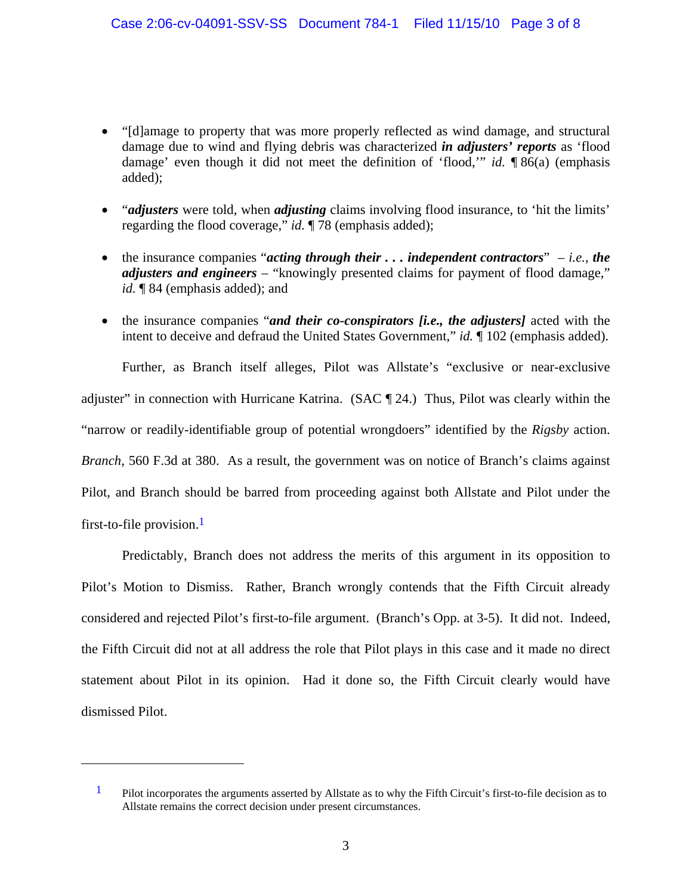- "[d]amage to property that was more properly reflected as wind damage, and structural damage due to wind and flying debris was characterized *in adjusters' reports* as 'flood damage' even though it did not meet the definition of 'flood,'" *id.* ¶ 86(a) (emphasis added);
- *"adjusters* were told, when *adjusting* claims involving flood insurance, to 'hit the limits' regarding the flood coverage," *id.* ¶ 78 (emphasis added);
- the insurance companies "*acting through their . . . independent contractors*" *i.e.*, *the adjusters and engineers* – "knowingly presented claims for payment of flood damage," *id.* ¶ 84 (emphasis added); and
- the insurance companies "*and their co-conspirators [i.e., the adjusters]* acted with the intent to deceive and defraud the United States Government," *id.* ¶ 102 (emphasis added).

Further, as Branch itself alleges, Pilot was Allstate's "exclusive or near-exclusive adjuster" in connection with Hurricane Katrina. (SAC ¶ 24.) Thus, Pilot was clearly within the "narrow or readily-identifiable group of potential wrongdoers" identified by the *Rigsby* action. *Branch*, 560 F.3d at 380. As a result, the government was on notice of Branch's claims against Pilot, and Branch should be barred from proceeding against both Allstate and Pilot under the first-to-file provision.<sup>1</sup>

Predictably, Branch does not address the merits of this argument in its opposition to Pilot's Motion to Dismiss. Rather, Branch wrongly contends that the Fifth Circuit already considered and rejected Pilot's first-to-file argument. (Branch's Opp. at 3-5). It did not. Indeed, the Fifth Circuit did not at all address the role that Pilot plays in this case and it made no direct statement about Pilot in its opinion. Had it done so, the Fifth Circuit clearly would have dismissed Pilot.

1

<sup>&</sup>lt;sup>1</sup> Pilot incorporates the arguments asserted by Allstate as to why the Fifth Circuit's first-to-file decision as to Allstate remains the correct decision under present circumstances.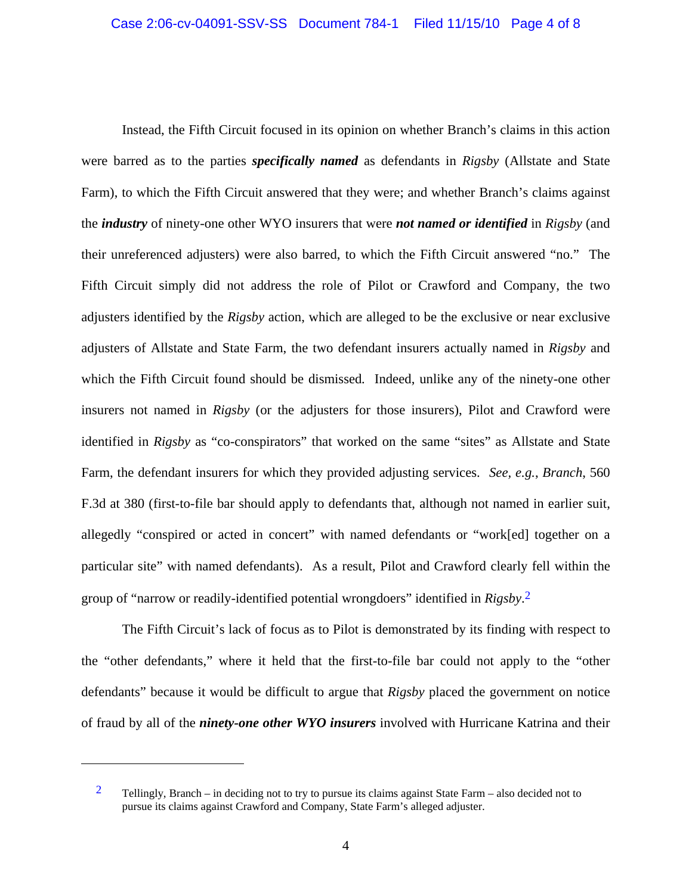Instead, the Fifth Circuit focused in its opinion on whether Branch's claims in this action were barred as to the parties *specifically named* as defendants in *Rigsby* (Allstate and State Farm), to which the Fifth Circuit answered that they were; and whether Branch's claims against the *industry* of ninety-one other WYO insurers that were *not named or identified* in *Rigsby* (and their unreferenced adjusters) were also barred, to which the Fifth Circuit answered "no." The Fifth Circuit simply did not address the role of Pilot or Crawford and Company, the two adjusters identified by the *Rigsby* action, which are alleged to be the exclusive or near exclusive adjusters of Allstate and State Farm, the two defendant insurers actually named in *Rigsby* and which the Fifth Circuit found should be dismissed*.* Indeed, unlike any of the ninety-one other insurers not named in *Rigsby* (or the adjusters for those insurers), Pilot and Crawford were identified in *Rigsby* as "co-conspirators" that worked on the same "sites" as Allstate and State Farm, the defendant insurers for which they provided adjusting services. *See, e.g.*, *Branch*, 560 F.3d at 380 (first-to-file bar should apply to defendants that, although not named in earlier suit, allegedly "conspired or acted in concert" with named defendants or "work[ed] together on a particular site" with named defendants). As a result, Pilot and Crawford clearly fell within the group of "narrow or readily-identified potential wrongdoers" identified in *Rigsby*. 2

The Fifth Circuit's lack of focus as to Pilot is demonstrated by its finding with respect to the "other defendants," where it held that the first-to-file bar could not apply to the "other defendants" because it would be difficult to argue that *Rigsby* placed the government on notice of fraud by all of the *ninety-one other WYO insurers* involved with Hurricane Katrina and their

 $\overline{a}$ 

<sup>&</sup>lt;sup>2</sup> Tellingly, Branch – in deciding not to try to pursue its claims against State Farm – also decided not to pursue its claims against Crawford and Company, State Farm's alleged adjuster.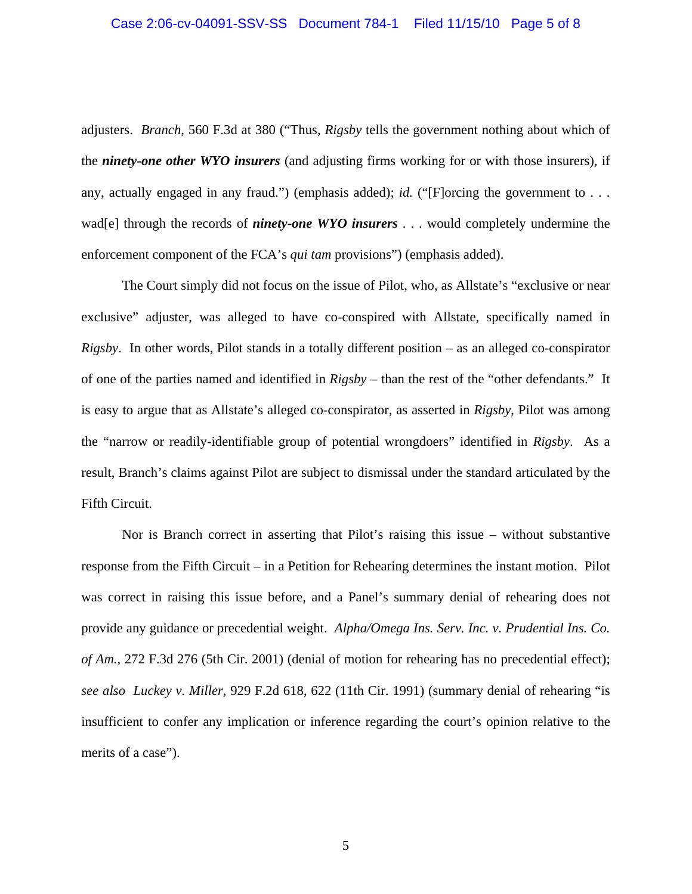adjusters. *Branch*, 560 F.3d at 380 ("Thus, *Rigsby* tells the government nothing about which of the *ninety-one other WYO insurers* (and adjusting firms working for or with those insurers), if any, actually engaged in any fraud.") (emphasis added); *id.* ("[F]orcing the government to . . . wad[e] through the records of *ninety-one WYO insurers* . . . would completely undermine the enforcement component of the FCA's *qui tam* provisions") (emphasis added).

The Court simply did not focus on the issue of Pilot, who, as Allstate's "exclusive or near exclusive" adjuster, was alleged to have co-conspired with Allstate, specifically named in *Rigsby*. In other words, Pilot stands in a totally different position – as an alleged co-conspirator of one of the parties named and identified in *Rigsby* – than the rest of the "other defendants." It is easy to argue that as Allstate's alleged co-conspirator, as asserted in *Rigsby*, Pilot was among the "narrow or readily-identifiable group of potential wrongdoers" identified in *Rigsby*. As a result, Branch's claims against Pilot are subject to dismissal under the standard articulated by the Fifth Circuit.

Nor is Branch correct in asserting that Pilot's raising this issue – without substantive response from the Fifth Circuit – in a Petition for Rehearing determines the instant motion. Pilot was correct in raising this issue before, and a Panel's summary denial of rehearing does not provide any guidance or precedential weight. *Alpha/Omega Ins. Serv. Inc. v. Prudential Ins. Co. of Am.*, 272 F.3d 276 (5th Cir. 2001) (denial of motion for rehearing has no precedential effect); *see also Luckey v. Miller*, 929 F.2d 618, 622 (11th Cir. 1991) (summary denial of rehearing "is insufficient to confer any implication or inference regarding the court's opinion relative to the merits of a case").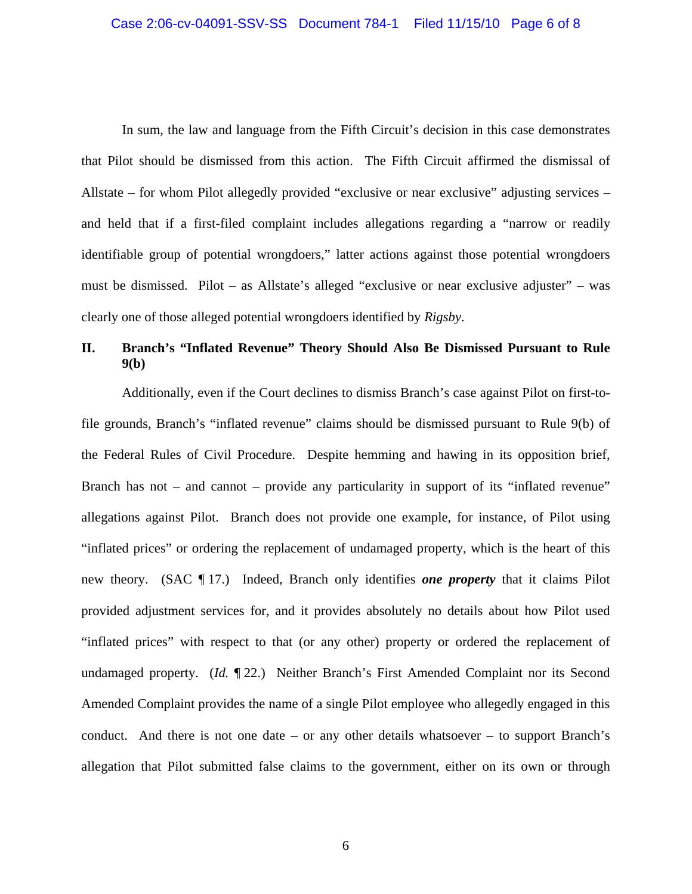In sum, the law and language from the Fifth Circuit's decision in this case demonstrates that Pilot should be dismissed from this action. The Fifth Circuit affirmed the dismissal of Allstate – for whom Pilot allegedly provided "exclusive or near exclusive" adjusting services – and held that if a first-filed complaint includes allegations regarding a "narrow or readily identifiable group of potential wrongdoers," latter actions against those potential wrongdoers must be dismissed. Pilot – as Allstate's alleged "exclusive or near exclusive adjuster" – was clearly one of those alleged potential wrongdoers identified by *Rigsby*.

# **II. Branch's "Inflated Revenue" Theory Should Also Be Dismissed Pursuant to Rule 9(b)**

Additionally, even if the Court declines to dismiss Branch's case against Pilot on first-tofile grounds, Branch's "inflated revenue" claims should be dismissed pursuant to Rule 9(b) of the Federal Rules of Civil Procedure. Despite hemming and hawing in its opposition brief, Branch has not – and cannot – provide any particularity in support of its "inflated revenue" allegations against Pilot. Branch does not provide one example, for instance, of Pilot using "inflated prices" or ordering the replacement of undamaged property, which is the heart of this new theory. (SAC ¶ 17.) Indeed, Branch only identifies *one property* that it claims Pilot provided adjustment services for, and it provides absolutely no details about how Pilot used "inflated prices" with respect to that (or any other) property or ordered the replacement of undamaged property. (*Id.* ¶ 22.) Neither Branch's First Amended Complaint nor its Second Amended Complaint provides the name of a single Pilot employee who allegedly engaged in this conduct. And there is not one date – or any other details whatsoever – to support Branch's allegation that Pilot submitted false claims to the government, either on its own or through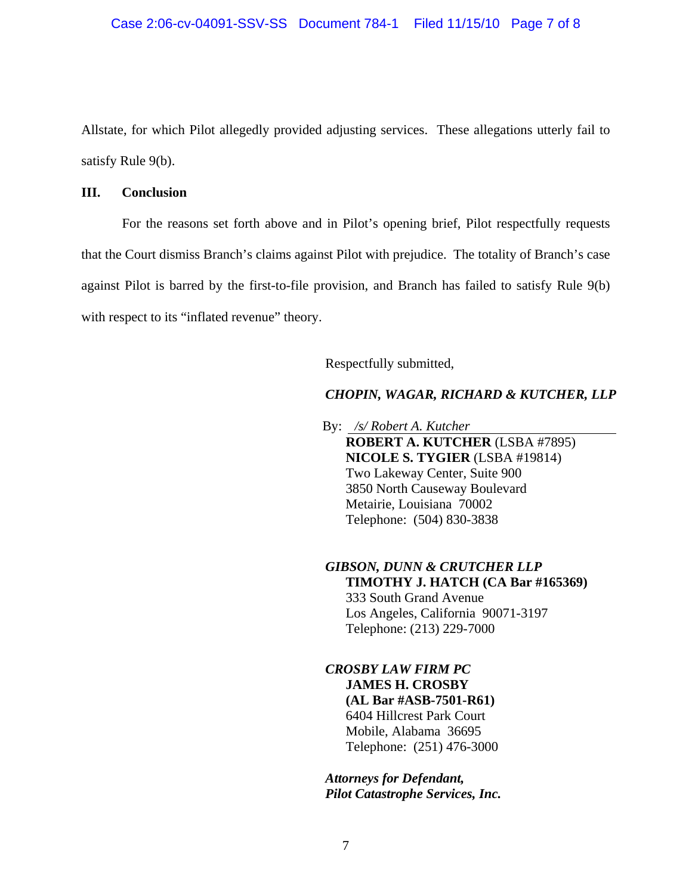Allstate, for which Pilot allegedly provided adjusting services. These allegations utterly fail to satisfy Rule 9(b).

#### **III. Conclusion**

For the reasons set forth above and in Pilot's opening brief, Pilot respectfully requests that the Court dismiss Branch's claims against Pilot with prejudice. The totality of Branch's case against Pilot is barred by the first-to-file provision, and Branch has failed to satisfy Rule 9(b) with respect to its "inflated revenue" theory.

Respectfully submitted,

## *CHOPIN, WAGAR, RICHARD & KUTCHER, LLP*

 By: */s/ Robert A. Kutcher*  **ROBERT A. KUTCHER** (LSBA #7895)  **NICOLE S. TYGIER** (LSBA #19814) Two Lakeway Center, Suite 900 3850 North Causeway Boulevard Metairie, Louisiana 70002 Telephone: (504) 830-3838

*GIBSON, DUNN & CRUTCHER LLP*   **TIMOTHY J. HATCH (CA Bar #165369)** 333 South Grand Avenue Los Angeles, California 90071-3197 Telephone: (213) 229-7000

*CROSBY LAW FIRM PC*  **JAMES H. CROSBY (AL Bar #ASB-7501-R61)**  6404 Hillcrest Park Court Mobile, Alabama 36695 Telephone: (251) 476-3000

*Attorneys for Defendant, Pilot Catastrophe Services, Inc.*